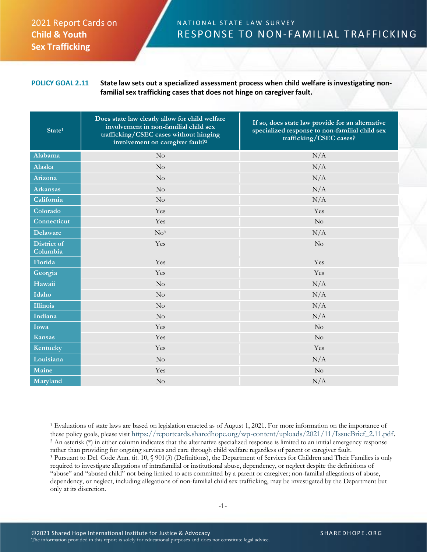## 2021 Report Cards on **Child & Youth Sex Trafficking**

## N A T I O N A L S T A T E L A W S U R V E Y RESPONSE TO NON-FAMILIAL TRAFFICKING

## **POLICY GOAL 2.11 State law sets out a specialized assessment process when child welfare is investigating nonfamilial sex trafficking cases that does not hinge on caregiver fault.**

| State <sup>1</sup>             | Does state law clearly allow for child welfare<br>involvement in non-familial child sex<br>trafficking/CSEC cases without hinging<br>involvement on caregiver fault? <sup>2</sup> | If so, does state law provide for an alternative<br>specialized response to non-familial child sex<br>trafficking/CSEC cases? |
|--------------------------------|-----------------------------------------------------------------------------------------------------------------------------------------------------------------------------------|-------------------------------------------------------------------------------------------------------------------------------|
| Alabama                        | No                                                                                                                                                                                | N/A                                                                                                                           |
| Alaska                         | No                                                                                                                                                                                | N/A                                                                                                                           |
| Arizona                        | No                                                                                                                                                                                | N/A                                                                                                                           |
| <b>Arkansas</b>                | No                                                                                                                                                                                | N/A                                                                                                                           |
| California                     | No                                                                                                                                                                                | N/A                                                                                                                           |
| Colorado                       | Yes                                                                                                                                                                               | Yes                                                                                                                           |
| Connecticut                    | Yes                                                                                                                                                                               | $\rm No$                                                                                                                      |
| <b>Delaware</b>                | No <sup>3</sup>                                                                                                                                                                   | N/A                                                                                                                           |
| <b>District of</b><br>Columbia | Yes                                                                                                                                                                               | $\rm No$                                                                                                                      |
| Florida                        | Yes                                                                                                                                                                               | Yes                                                                                                                           |
| Georgia                        | Yes                                                                                                                                                                               | Yes                                                                                                                           |
| Hawaii                         | $\rm No$                                                                                                                                                                          | N/A                                                                                                                           |
| Idaho                          | No                                                                                                                                                                                | N/A                                                                                                                           |
| <b>Illinois</b>                | No                                                                                                                                                                                | N/A                                                                                                                           |
| Indiana                        | $\rm No$                                                                                                                                                                          | N/A                                                                                                                           |
| Iowa                           | Yes                                                                                                                                                                               | No                                                                                                                            |
| <b>Kansas</b>                  | Yes                                                                                                                                                                               | $\rm No$                                                                                                                      |
| Kentucky                       | Yes                                                                                                                                                                               | Yes                                                                                                                           |
| Louisiana                      | No                                                                                                                                                                                | N/A                                                                                                                           |
| Maine                          | Yes                                                                                                                                                                               | $\rm No$                                                                                                                      |
| Maryland                       | No                                                                                                                                                                                | N/A                                                                                                                           |

<sup>1</sup> Evaluations of state laws are based on legislation enacted as of August 1, 2021. For more information on the importance of these policy goals, please visit https://reportcards.sharedhope.org/wp-content/uploads/2021/11/IssueBrief\_2.11.pdf. <sup>2</sup> An asterisk (\*) in either column indicates that the alternative specialized response is limited to an initial emergency response rather than providing for ongoing services and care through child welfare regardless of parent or caregiver fault. <sup>3</sup> Pursuant to Del. Code Ann. tit. 10, § 901(3) (Definitions), the Department of Services for Children and Their Families is only required to investigate allegations of intrafamilial or institutional abuse, dependency, or neglect despite the definitions of "abuse" and "abused child" not being limited to acts committed by a parent or caregiver; non-familial allegations of abuse, dependency, or neglect, including allegations of non-familial child sex trafficking, may be investigated by the Department but only at its discretion.